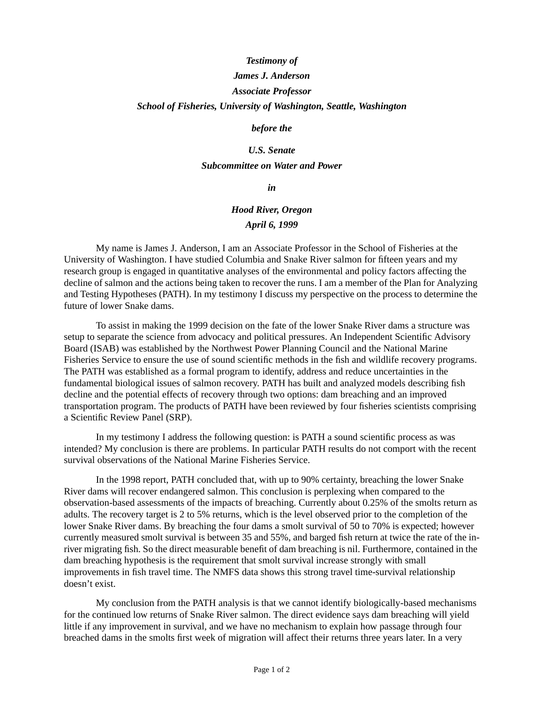# *Testimony of James J. Anderson Associate Professor School of Fisheries, University of Washington, Seattle, Washington*

#### *before the*

## *U.S. Senate Subcommittee on Water and Power*

#### *in*

## *Hood River, Oregon April 6, 1999*

My name is James J. Anderson, I am an Associate Professor in the School of Fisheries at the University of Washington. I have studied Columbia and Snake River salmon for fifteen years and my research group is engaged in quantitative analyses of the environmental and policy factors affecting the decline of salmon and the actions being taken to recover the runs. I am a member of the Plan for Analyzing and Testing Hypotheses (PATH). In my testimony I discuss my perspective on the process to determine the future of lower Snake dams.

To assist in making the 1999 decision on the fate of the lower Snake River dams a structure was setup to separate the science from advocacy and political pressures. An Independent Scientific Advisory Board (ISAB) was established by the Northwest Power Planning Council and the National Marine Fisheries Service to ensure the use of sound scientific methods in the fish and wildlife recovery programs. The PATH was established as a formal program to identify, address and reduce uncertainties in the fundamental biological issues of salmon recovery. PATH has built and analyzed models describing fish decline and the potential effects of recovery through two options: dam breaching and an improved transportation program. The products of PATH have been reviewed by four fisheries scientists comprising a Scientific Review Panel (SRP).

In my testimony I address the following question: is PATH a sound scientific process as was intended? My conclusion is there are problems. In particular PATH results do not comport with the recent survival observations of the National Marine Fisheries Service.

In the 1998 report, PATH concluded that, with up to 90% certainty, breaching the lower Snake River dams will recover endangered salmon. This conclusion is perplexing when compared to the observation-based assessments of the impacts of breaching. Currently about 0.25% of the smolts return as adults. The recovery target is 2 to 5% returns, which is the level observed prior to the completion of the lower Snake River dams. By breaching the four dams a smolt survival of 50 to 70% is expected; however currently measured smolt survival is between 35 and 55%, and barged fish return at twice the rate of the inriver migrating fish. So the direct measurable benefit of dam breaching is nil. Furthermore, contained in the dam breaching hypothesis is the requirement that smolt survival increase strongly with small improvements in fish travel time. The NMFS data shows this strong travel time-survival relationship doesn't exist.

My conclusion from the PATH analysis is that we cannot identify biologically-based mechanisms for the continued low returns of Snake River salmon. The direct evidence says dam breaching will yield little if any improvement in survival, and we have no mechanism to explain how passage through four breached dams in the smolts first week of migration will affect their returns three years later. In a very